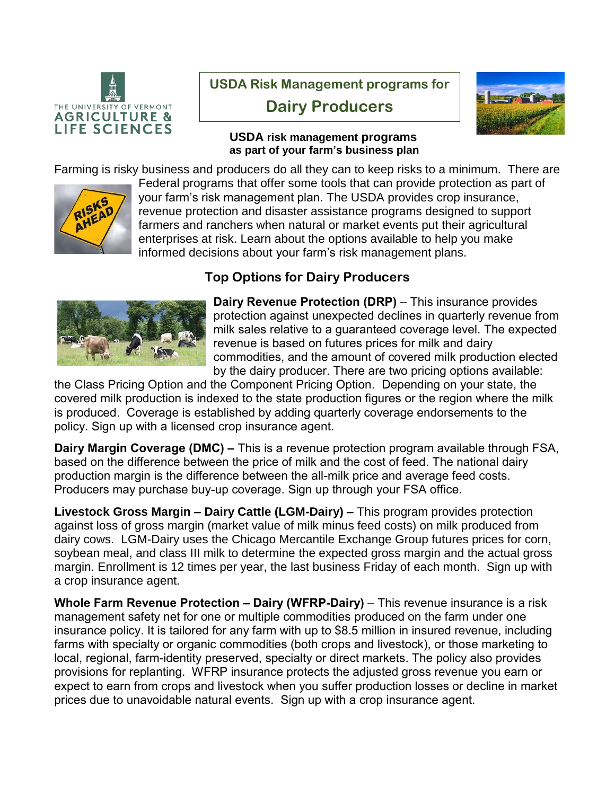

## **USDA Risk Management programs for**

**Dairy Producers**



## **USDA risk management programs as part of your farm's business plan**

Farming is risky business and producers do all they can to keep risks to a minimum. There are



Federal programs that offer some tools that can provide protection as part of your farm's risk management plan. The USDA provides crop insurance, revenue protection and disaster assistance programs designed to support farmers and ranchers when natural or market events put their agricultural enterprises at risk. Learn about the options available to help you make informed decisions about your farm's risk management plans.

## **Top Options for Dairy Producers**



**Dairy Revenue Protection (DRP)** – This insurance provides protection against unexpected declines in quarterly revenue from milk sales relative to a guaranteed coverage level. The expected revenue is based on futures prices for milk and dairy commodities, and the amount of covered milk production elected by the dairy producer. There are two pricing options available:

the Class Pricing Option and the Component Pricing Option. Depending on your state, the covered milk production is indexed to the state production figures or the region where the milk is produced. Coverage is established by adding quarterly coverage endorsements to the policy. Sign up with a licensed crop insurance agent.

**Dairy Margin Coverage (DMC) –** This is a revenue protection program available through FSA, based on the difference between the price of milk and the cost of feed. The national dairy production margin is the difference between the all-milk price and average feed costs. Producers may purchase buy-up coverage. Sign up through your FSA office.

**Livestock Gross Margin – Dairy Cattle (LGM-Dairy) –** This program provides protection against loss of gross margin (market value of milk minus feed costs) on milk produced from dairy cows. LGM-Dairy uses the Chicago Mercantile Exchange Group futures prices for corn, soybean meal, and class III milk to determine the expected gross margin and the actual gross margin. Enrollment is 12 times per year, the last business Friday of each month. Sign up with a crop insurance agent.

**Whole Farm Revenue Protection – Dairy (WFRP-Dairy)** – This revenue insurance is a risk management safety net for one or multiple commodities produced on the farm under one insurance policy. It is tailored for any farm with up to \$8.5 million in insured revenue, including farms with specialty or organic commodities (both crops and livestock), or those marketing to local, regional, farm-identity preserved, specialty or direct markets. The policy also provides provisions for replanting. WFRP insurance protects the adjusted gross revenue you earn or expect to earn from crops and livestock when you suffer production losses or decline in market prices due to unavoidable natural events. Sign up with a crop insurance agent.